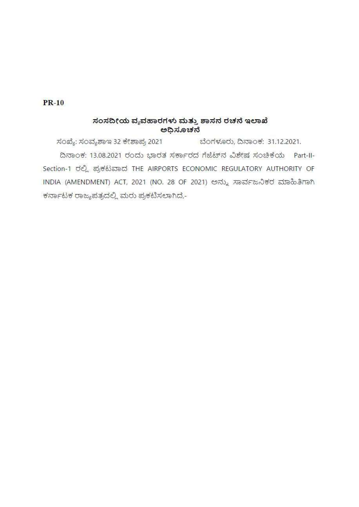## $PR-10$

## ಸಂಸದೀಯ ವ್ಯವಹಾರಗಳು ಮತ್ತು ಶಾಸನ ರಚನೆ ಇಲಾಖೆ ಅಧಿಸೂಚನೆ

ಸಂಖ್ಯೆ: ಸಂವ್ಯಶಾಇ 32 ಕೇಶಾಪ್ರ 2021 ಬೆಂಗಳೂರು, ದಿನಾಂಕ: 31.12.2021. ದಿನಾಂಕ: 13.08.2021 ರಂದು ಭಾರತ ಸರ್ಕಾರದ ಗೆಜೆಟ್ ನ ವಿಶೇಷ ಸಂಚಿಕೆಯ Part-II-Section-1 ರಲ್ಲಿ ಪ್ರಕಟವಾದ THE AIRPORTS ECONOMIC REGULATORY AUTHORITY OF INDIA (AMENDMENT) ACT, 2021 (NO. 28 OF 2021) ಅನ್ನು ಸಾರ್ವಜನಿಕರ ಮಾಹಿತಿಗಾಗಿ ಕರ್ನಾಟಕ ರಾಜ್ಯಪತ್ರದಲ್ಲಿ ಮರು ಪ್ರಕಟಿಸಲಾಗಿದೆ,-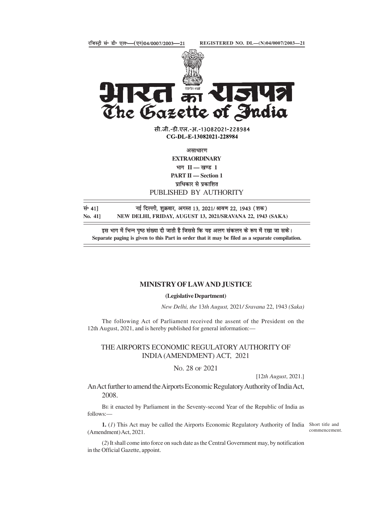

सी.जी.-डी.एल.-अ.-13082021-228984 CG-DL-E-13082021-228984

**EXTRAORDINARY** 

भाग $\Pi$  - खण्ड 1

PART II - Section 1

PUBLISHED BY AUTHORITY

संग 41] सई दिल्ली, शुक्रवार, अगस्त 13, 2021/ श्रावण 22, 1943 (शक)

Separate paging is given to this Part in order that it may be filed as a separate compilation.

### MINISTRY OF LAW AND JUSTICE

#### (Legislative Department)

New Delhi, the 13th August, 2021/ Sravana 22, 1943 (Saka)

The following Act of Parliament received the assent of the President on the 12th August, 2021, and is hereby published for general information:—

# THE AIRPORTS ECONOMIC REGULATORY AUTHORITY OF

NO. 28 OF 2021

[12th August, 2021.]

PUBLISHED BY AUTHORITY<br>
दिल्ली, शुक्रवार, अगस्त 13, 2021/ श्रावण 22, 1943 (शक)<br>
IHI, FRIDAY, AUGUST 13, 2021/SRAVANA 22, 1943 (SAKA)<br>
ER TRIDAY, AUGUST 13, 2021/SRAVANA 22, 1943 (SAKA)<br>
a संख्या दी जाती है जिससे कि यह अलग An Act further to amend the Airports Economic Regulatory Authority of India Act, 2008.

BE it enacted by Parliament in the Seventy-second Year of the Republic of India as follows:—

1. (1) This Act may be called the Airports Economic Regulatory Authority of India Short title and (Amendment) Act, 2021.

commencement.

(2) It shall come into force on such date as the Central Government may, by notification in the Official Gazette, appoint.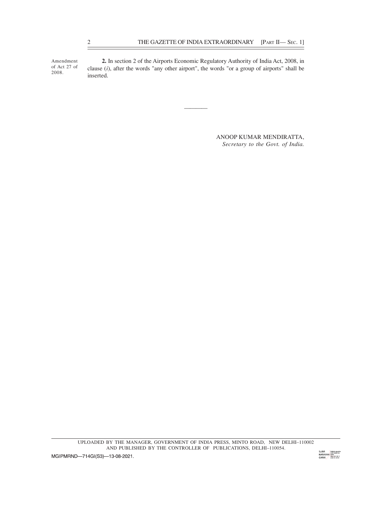Amendment 2. In section 2 of the Airports Economic Regulatory Authority of India Act, 2008, in of Act 27 of clause  $(i)$ , after the words "any other airport", the words "or a group of airports" shall be 2008. **Inserted**. THE GAZETTE OF INDIA EXTRAORDINARY [PART II— SEC. 1]<br>2. In section 2 of the Airports Economic Regulatory Authority of India Act, 2008, in<br>clause (i), after the words "any other airport", the words "or a group of airports"

> ANOOP KUMAR MENDIRATTA, Secretary to the Govt. of India.

and the contract of the contract of the contract of the contract of the contract of the contract of the contra<br>And the contract of the contract of the contract of the contract of the contract of the contract of the contra

UPLOADED BY THE MANAGER, GOVERNMENT OF INDIA PRESS, MINTO ROAD, NEW DELHI–110002 AND PUBLISHED BY THE CONTROLLER OF PUBLICATIONS, DELHI-110054.

MGIPMRND-714GI(S3)-13-08-2021.